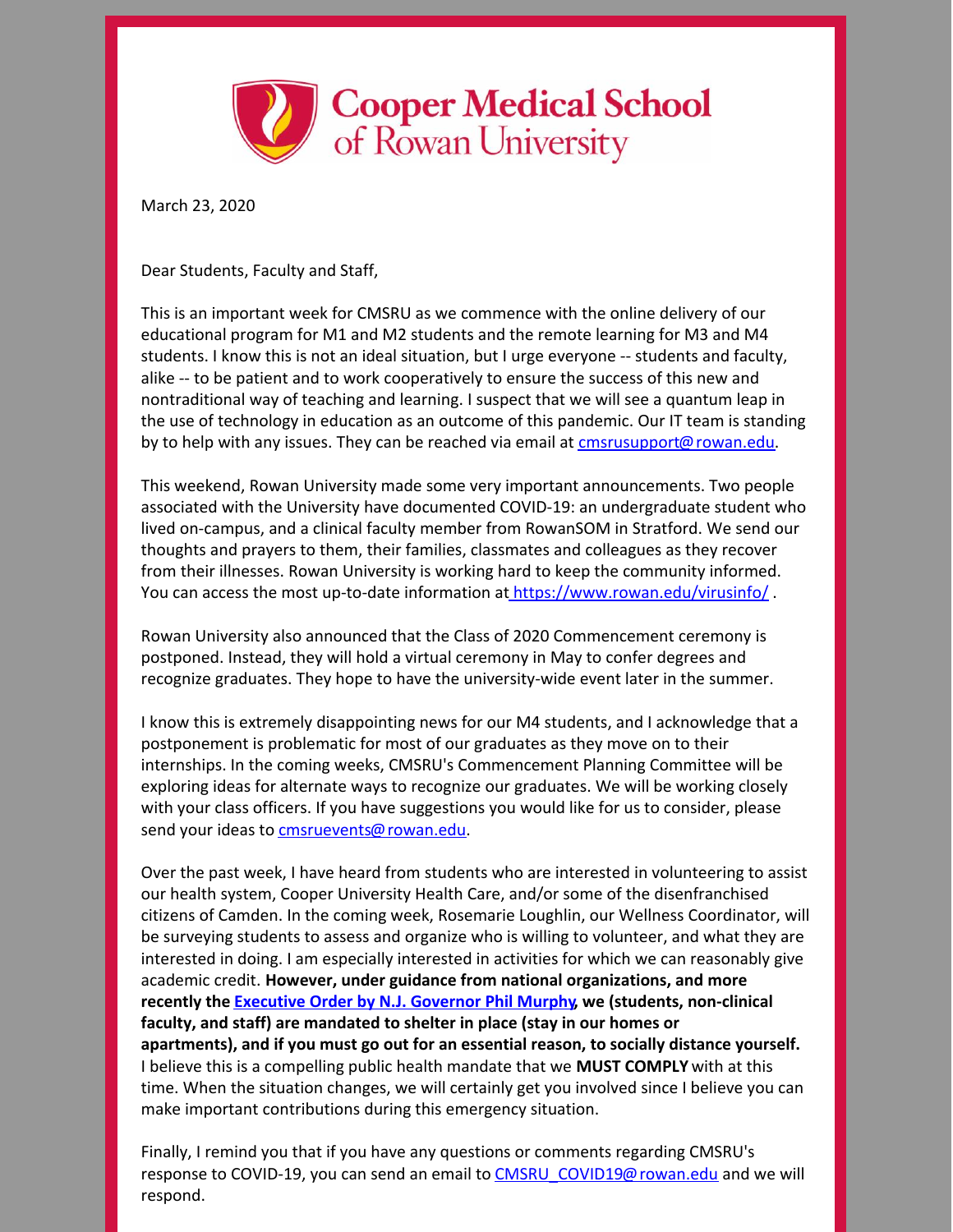

March 23, 2020

Dear Students, Faculty and Staff,

This is an important week for CMSRU as we commence with the online delivery of our educational program for M1 and M2 students and the remote learning for M3 and M4 students. I know this is not an ideal situation, but I urge everyone -- students and faculty, alike -- to be patient and to work cooperatively to ensure the success of this new and nontraditional way of teaching and learning. I suspect that we will see a quantum leap in the use of technology in education as an outcome of this pandemic. Our IT team is standing by to help with any issues. They can be reached via email at **[cmsrusupport@rowan.edu](mailto:cmsrusupport@rowan.edu).** 

This weekend, Rowan University made some very important announcements. Two people associated with the University have documented COVID-19: an undergraduate student who lived on-campus, and a clinical faculty member from RowanSOM in Stratford. We send our thoughts and prayers to them, their families, classmates and colleagues as they recover from their illnesses. Rowan University is working hard to keep the community informed. You can access the most up-to-date information at <https://www.rowan.edu/virusinfo/>.

Rowan University also announced that the Class of 2020 Commencement ceremony is postponed. Instead, they will hold a virtual ceremony in May to confer degrees and recognize graduates. They hope to have the university-wide event later in the summer.

I know this is extremely disappointing news for our M4 students, and I acknowledge that a postponement is problematic for most of our graduates as they move on to their internships. In the coming weeks, CMSRU's Commencement Planning Committee will be exploring ideas for alternate ways to recognize our graduates. We will be working closely with your class officers. If you have suggestions you would like for us to consider, please send your ideas to [cmsruevents@rowan.edu](mailto:cmsruevents@rowan.edu).

Over the past week, I have heard from students who are interested in volunteering to assist our health system, Cooper University Health Care, and/or some of the disenfranchised citizens of Camden. In the coming week, Rosemarie Loughlin, our Wellness Coordinator, will be surveying students to assess and organize who is willing to volunteer, and what they are interested in doing. I am especially interested in activities for which we can reasonably give academic credit. **However, under guidance from national organizations, and more recently the [Executive](https://nj.gov/infobank/eo/056murphy/pdf/EO-107.pdf) Order by N.J. Governor Phil Murphy, we (students, non-clinical faculty, and staff) are mandated to shelter in place (stay in our homes or apartments), and if you must go out for an essential reason, to socially distance yourself.** I believe this is a compelling public health mandate that we **MUST COMPLY** with at this time. When the situation changes, we will certainly get you involved since I believe you can make important contributions during this emergency situation.

Finally, I remind you that if you have any questions or comments regarding CMSRU's response to COVID-19, you can send an email to [CMSRU\\_COVID19@rowan.edu](mailto:CMSRU_COVID19@rowan.edu) and we will respond.